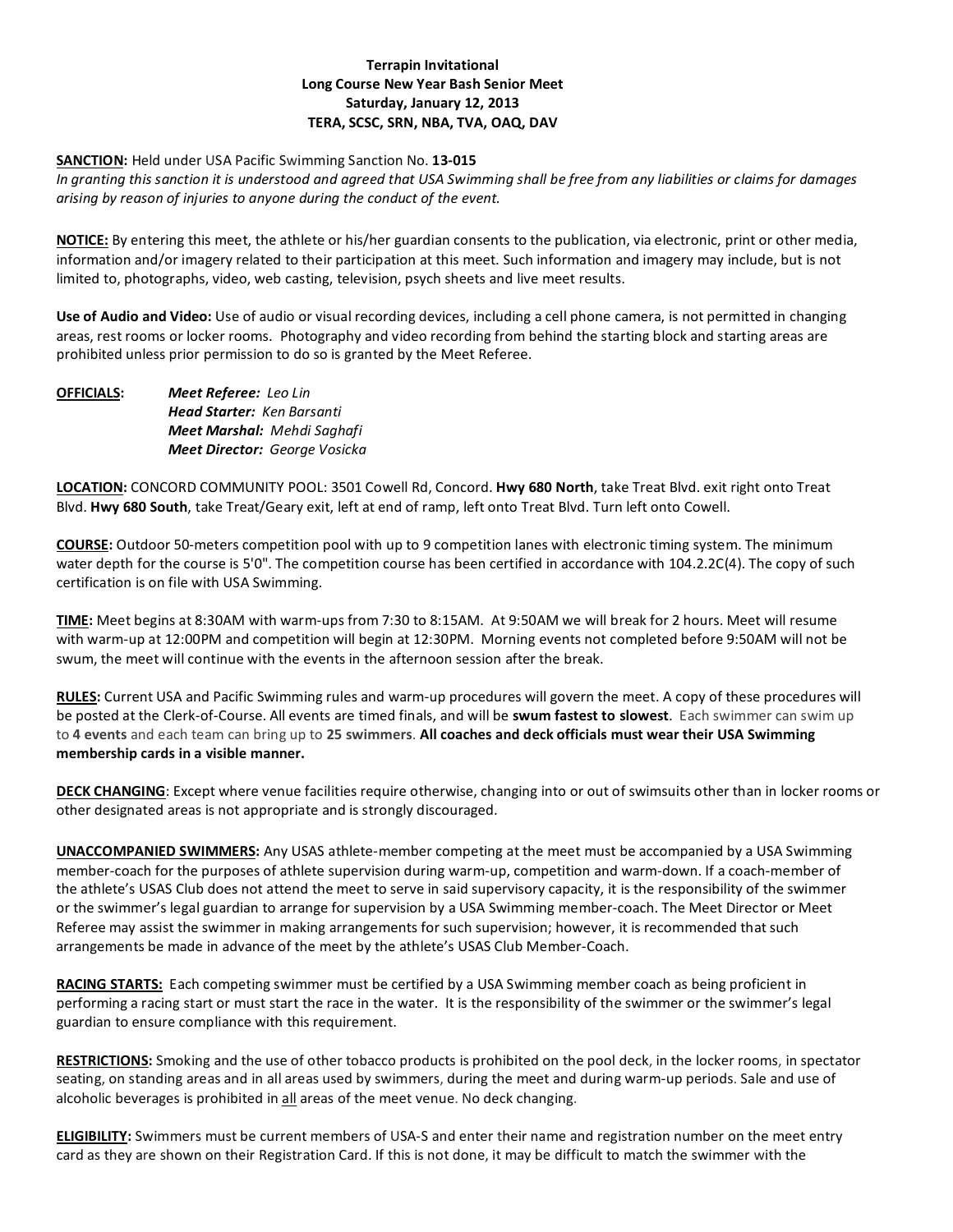# **Terrapin Invitational Long Course New Year Bash Senior Meet Saturday, January 12, 2013 TERA, SCSC, SRN, NBA, TVA, OAQ, DAV**

## **SANCTION:** Held under USA Pacific Swimming Sanction No. **13-015**

*In granting this sanction it is understood and agreed that USA Swimming shall be free from any liabilities or claims for damages arising by reason of injuries to anyone during the conduct of the event.*

**NOTICE:** By entering this meet, the athlete or his/her guardian consents to the publication, via electronic, print or other media, information and/or imagery related to their participation at this meet. Such information and imagery may include, but is not limited to, photographs, video, web casting, television, psych sheets and live meet results.

**Use of Audio and Video:** Use of audio or visual recording devices, including a cell phone camera, is not permitted in changing areas, rest rooms or locker rooms. Photography and video recording from behind the starting block and starting areas are prohibited unless prior permission to do so is granted by the Meet Referee.

| <b>OFFICIALS:</b> | <b>Meet Referee:</b> Leo Lin         |
|-------------------|--------------------------------------|
|                   | <b>Head Starter:</b> Ken Barsanti    |
|                   | Meet Marshal: Mehdi Saghafi          |
|                   | <b>Meet Director: George Vosicka</b> |

**LOCATION:** CONCORD COMMUNITY POOL: 3501 Cowell Rd, Concord. **Hwy 680 North**, take Treat Blvd. exit right onto Treat Blvd. **Hwy 680 South**, take Treat/Geary exit, left at end of ramp, left onto Treat Blvd. Turn left onto Cowell.

**COURSE:** Outdoor 50-meters competition pool with up to 9 competition lanes with electronic timing system. The minimum water depth for the course is 5'0". The competition course has been certified in accordance with 104.2.2C(4). The copy of such certification is on file with USA Swimming.

**TIME:** Meet begins at 8:30AM with warm-ups from 7:30 to 8:15AM. At 9:50AM we will break for 2 hours. Meet will resume with warm-up at 12:00PM and competition will begin at 12:30PM. Morning events not completed before 9:50AM will not be swum, the meet will continue with the events in the afternoon session after the break.

**RULES:** Current USA and Pacific Swimming rules and warm-up procedures will govern the meet. A copy of these procedures will be posted at the Clerk-of-Course. All events are timed finals, and will be **swum fastest to slowest**. Each swimmer can swim up to **4 events** and each team can bring up to **25 swimmers**. **All coaches and deck officials must wear their USA Swimming membership cards in a visible manner.** 

**DECK CHANGING**: Except where venue facilities require otherwise, changing into or out of swimsuits other than in locker rooms or other designated areas is not appropriate and is strongly discouraged.

**UNACCOMPANIED SWIMMERS:** Any USAS athlete-member competing at the meet must be accompanied by a USA Swimming member-coach for the purposes of athlete supervision during warm-up, competition and warm-down. If a coach-member of the athlete's USAS Club does not attend the meet to serve in said supervisory capacity, it is the responsibility of the swimmer or the swimmer's legal guardian to arrange for supervision by a USA Swimming member-coach. The Meet Director or Meet Referee may assist the swimmer in making arrangements for such supervision; however, it is recommended that such arrangements be made in advance of the meet by the athlete's USAS Club Member-Coach.

**RACING STARTS:** Each competing swimmer must be certified by a USA Swimming member coach as being proficient in performing a racing start or must start the race in the water. It is the responsibility of the swimmer or the swimmer's legal guardian to ensure compliance with this requirement.

**RESTRICTIONS:** Smoking and the use of other tobacco products is prohibited on the pool deck, in the locker rooms, in spectator seating, on standing areas and in all areas used by swimmers, during the meet and during warm-up periods. Sale and use of alcoholic beverages is prohibited in all areas of the meet venue. No deck changing.

**ELIGIBILITY:** Swimmers must be current members of USA-S and enter their name and registration number on the meet entry card as they are shown on their Registration Card. If this is not done, it may be difficult to match the swimmer with the